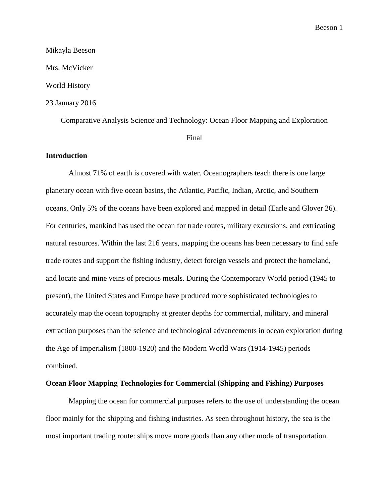# Mikayla Beeson Mrs. McVicker World History 23 January 2016

Comparative Analysis Science and Technology: Ocean Floor Mapping and Exploration

Final

## **Introduction**

Almost 71% of earth is covered with water. Oceanographers teach there is one large planetary ocean with five ocean basins, the Atlantic, Pacific, Indian, Arctic, and Southern oceans. Only 5% of the oceans have been explored and mapped in detail (Earle and Glover 26). For centuries, mankind has used the ocean for trade routes, military excursions, and extricating natural resources. Within the last 216 years, mapping the oceans has been necessary to find safe trade routes and support the fishing industry, detect foreign vessels and protect the homeland, and locate and mine veins of precious metals. During the Contemporary World period (1945 to present), the United States and Europe have produced more sophisticated technologies to accurately map the ocean topography at greater depths for commercial, military, and mineral extraction purposes than the science and technological advancements in ocean exploration during the Age of Imperialism (1800-1920) and the Modern World Wars (1914-1945) periods combined.

### **Ocean Floor Mapping Technologies for Commercial (Shipping and Fishing) Purposes**

Mapping the ocean for commercial purposes refers to the use of understanding the ocean floor mainly for the shipping and fishing industries. As seen throughout history, the sea is the most important trading route: ships move more goods than any other mode of transportation.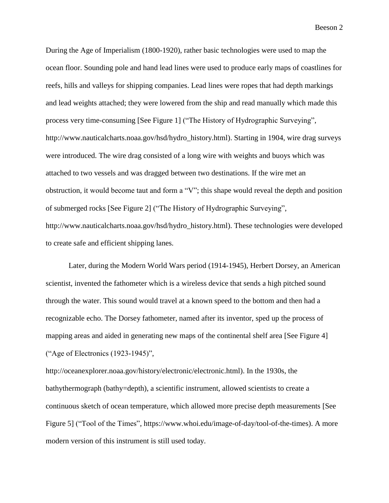During the Age of Imperialism (1800-1920), rather basic technologies were used to map the ocean floor. Sounding pole and hand lead lines were used to produce early maps of coastlines for reefs, hills and valleys for shipping companies. Lead lines were ropes that had depth markings and lead weights attached; they were lowered from the ship and read manually which made this process very time-consuming [See Figure 1] ("The History of Hydrographic Surveying", http://www.nauticalcharts.noaa.gov/hsd/hydro\_history.html). Starting in 1904, wire drag surveys were introduced. The wire drag consisted of a long wire with weights and buoys which was attached to two vessels and was dragged between two destinations. If the wire met an obstruction, it would become taut and form a "V"; this shape would reveal the depth and position of submerged rocks [See Figure 2] ("The History of Hydrographic Surveying", http://www.nauticalcharts.noaa.gov/hsd/hydro\_history.html). These technologies were developed to create safe and efficient shipping lanes.

Later, during the Modern World Wars period (1914-1945), Herbert Dorsey, an American scientist, invented the fathometer which is a wireless device that sends a high pitched sound through the water. This sound would travel at a known speed to the bottom and then had a recognizable echo. The Dorsey fathometer, named after its inventor, sped up the process of mapping areas and aided in generating new maps of the continental shelf area [See Figure 4] ("Age of Electronics (1923-1945)",

http://oceanexplorer.noaa.gov/history/electronic/electronic.html). In the 1930s, the bathythermograph (bathy=depth), a scientific instrument, allowed scientists to create a continuous sketch of ocean temperature, which allowed more precise depth measurements [See Figure 5] ("Tool of the Times", https://www.whoi.edu/image-of-day/tool-of-the-times). A more modern version of this instrument is still used today.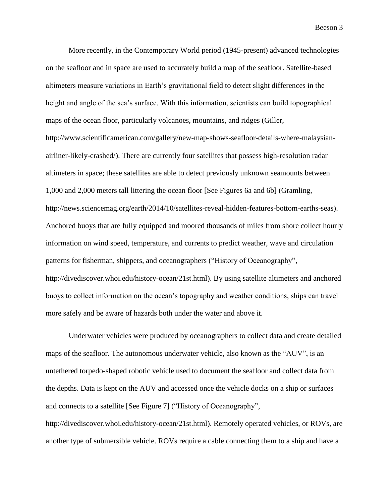More recently, in the Contemporary World period (1945-present) advanced technologies on the seafloor and in space are used to accurately build a map of the seafloor. Satellite-based altimeters measure variations in Earth's gravitational field to detect slight differences in the height and angle of the sea's surface. With this information, scientists can build topographical maps of the ocean floor, particularly volcanoes, mountains, and ridges (Giller, http://www.scientificamerican.com/gallery/new-map-shows-seafloor-details-where-malaysianairliner-likely-crashed/). There are currently four satellites that possess high-resolution radar altimeters in space; these satellites are able to detect previously unknown seamounts between 1,000 and 2,000 meters tall littering the ocean floor [See Figures 6a and 6b] (Gramling, http://news.sciencemag.org/earth/2014/10/satellites-reveal-hidden-features-bottom-earths-seas). Anchored buoys that are fully equipped and moored thousands of miles from shore collect hourly information on wind speed, temperature, and currents to predict weather, wave and circulation patterns for fisherman, shippers, and oceanographers ("History of Oceanography", http://divediscover.whoi.edu/history-ocean/21st.html). By using satellite altimeters and anchored buoys to collect information on the ocean's topography and weather conditions, ships can travel more safely and be aware of hazards both under the water and above it.

Underwater vehicles were produced by oceanographers to collect data and create detailed maps of the seafloor. The autonomous underwater vehicle, also known as the "AUV", is an untethered torpedo-shaped robotic vehicle used to document the seafloor and collect data from the depths. Data is kept on the AUV and accessed once the vehicle docks on a ship or surfaces and connects to a satellite [See Figure 7] ("History of Oceanography", http://divediscover.whoi.edu/history-ocean/21st.html). Remotely operated vehicles, or ROVs, are another type of submersible vehicle. ROVs require a cable connecting them to a ship and have a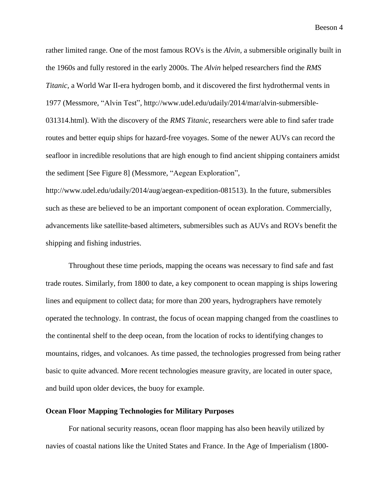rather limited range. One of the most famous ROVs is the *Alvin,* a submersible originally built in the 1960s and fully restored in the early 2000s. The *Alvin* helped researchers find the *RMS Titanic,* a World War II-era hydrogen bomb, and it discovered the first hydrothermal vents in 1977 (Messmore, "Alvin Test", http://www.udel.edu/udaily/2014/mar/alvin-submersible-031314.html). With the discovery of the *RMS Titanic*, researchers were able to find safer trade routes and better equip ships for hazard-free voyages. Some of the newer AUVs can record the seafloor in incredible resolutions that are high enough to find ancient shipping containers amidst the sediment [See Figure 8] (Messmore, "Aegean Exploration",

http://www.udel.edu/udaily/2014/aug/aegean-expedition-081513). In the future, submersibles such as these are believed to be an important component of ocean exploration. Commercially, advancements like satellite-based altimeters, submersibles such as AUVs and ROVs benefit the shipping and fishing industries.

Throughout these time periods, mapping the oceans was necessary to find safe and fast trade routes. Similarly, from 1800 to date, a key component to ocean mapping is ships lowering lines and equipment to collect data; for more than 200 years, hydrographers have remotely operated the technology. In contrast, the focus of ocean mapping changed from the coastlines to the continental shelf to the deep ocean, from the location of rocks to identifying changes to mountains, ridges, and volcanoes. As time passed, the technologies progressed from being rather basic to quite advanced. More recent technologies measure gravity, are located in outer space, and build upon older devices, the buoy for example.

#### **Ocean Floor Mapping Technologies for Military Purposes**

For national security reasons, ocean floor mapping has also been heavily utilized by navies of coastal nations like the United States and France. In the Age of Imperialism (1800-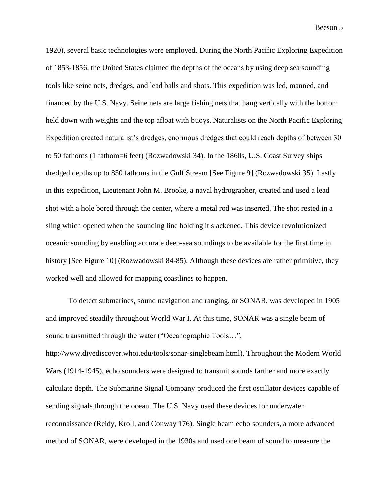1920), several basic technologies were employed. During the North Pacific Exploring Expedition of 1853-1856, the United States claimed the depths of the oceans by using deep sea sounding tools like seine nets, dredges, and lead balls and shots. This expedition was led, manned, and financed by the U.S. Navy. Seine nets are large fishing nets that hang vertically with the bottom held down with weights and the top afloat with buoys. Naturalists on the North Pacific Exploring Expedition created naturalist's dredges, enormous dredges that could reach depths of between 30 to 50 fathoms (1 fathom=6 feet) (Rozwadowski 34). In the 1860s, U.S. Coast Survey ships dredged depths up to 850 fathoms in the Gulf Stream [See Figure 9] (Rozwadowski 35). Lastly in this expedition, Lieutenant John M. Brooke, a naval hydrographer, created and used a lead shot with a hole bored through the center, where a metal rod was inserted. The shot rested in a sling which opened when the sounding line holding it slackened. This device revolutionized oceanic sounding by enabling accurate deep-sea soundings to be available for the first time in history [See Figure 10] (Rozwadowski 84-85). Although these devices are rather primitive, they worked well and allowed for mapping coastlines to happen.

To detect submarines, sound navigation and ranging, or SONAR, was developed in 1905 and improved steadily throughout World War I. At this time, SONAR was a single beam of sound transmitted through the water ("Oceanographic Tools…", http://www.divediscover.whoi.edu/tools/sonar-singlebeam.html). Throughout the Modern World Wars (1914-1945), echo sounders were designed to transmit sounds farther and more exactly calculate depth. The Submarine Signal Company produced the first oscillator devices capable of sending signals through the ocean. The U.S. Navy used these devices for underwater reconnaissance (Reidy, Kroll, and Conway 176). Single beam echo sounders, a more advanced method of SONAR, were developed in the 1930s and used one beam of sound to measure the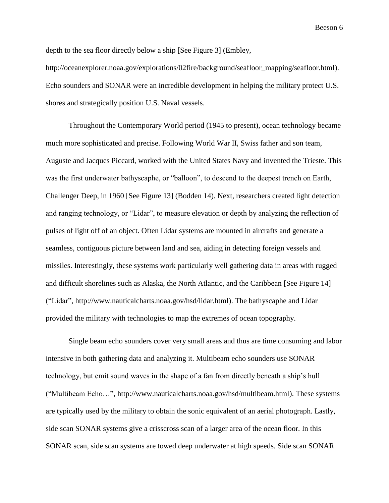depth to the sea floor directly below a ship [See Figure 3] (Embley,

http://oceanexplorer.noaa.gov/explorations/02fire/background/seafloor\_mapping/seafloor.html). Echo sounders and SONAR were an incredible development in helping the military protect U.S. shores and strategically position U.S. Naval vessels.

Throughout the Contemporary World period (1945 to present), ocean technology became much more sophisticated and precise. Following World War II, Swiss father and son team, Auguste and Jacques Piccard, worked with the United States Navy and invented the Trieste. This was the first underwater bathyscaphe, or "balloon", to descend to the deepest trench on Earth, Challenger Deep, in 1960 [See Figure 13] (Bodden 14). Next, researchers created light detection and ranging technology, or "Lidar", to measure elevation or depth by analyzing the reflection of pulses of light off of an object. Often Lidar systems are mounted in aircrafts and generate a seamless, contiguous picture between land and sea, aiding in detecting foreign vessels and missiles. Interestingly, these systems work particularly well gathering data in areas with rugged and difficult shorelines such as Alaska, the North Atlantic, and the Caribbean [See Figure 14] ("Lidar", http://www.nauticalcharts.noaa.gov/hsd/lidar.html). The bathyscaphe and Lidar provided the military with technologies to map the extremes of ocean topography.

Single beam echo sounders cover very small areas and thus are time consuming and labor intensive in both gathering data and analyzing it. Multibeam echo sounders use SONAR technology, but emit sound waves in the shape of a fan from directly beneath a ship's hull ("Multibeam Echo…", http://www.nauticalcharts.noaa.gov/hsd/multibeam.html). These systems are typically used by the military to obtain the sonic equivalent of an aerial photograph. Lastly, side scan SONAR systems give a crisscross scan of a larger area of the ocean floor. In this SONAR scan, side scan systems are towed deep underwater at high speeds. Side scan SONAR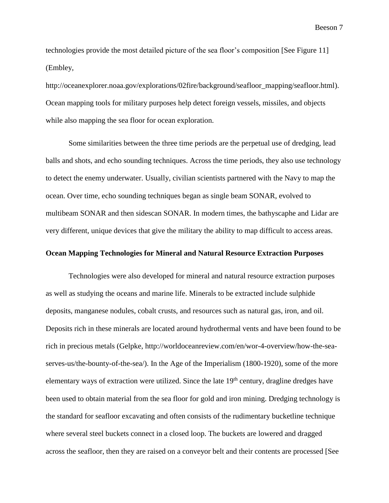technologies provide the most detailed picture of the sea floor's composition [See Figure 11] (Embley,

http://oceanexplorer.noaa.gov/explorations/02fire/background/seafloor\_mapping/seafloor.html). Ocean mapping tools for military purposes help detect foreign vessels, missiles, and objects while also mapping the sea floor for ocean exploration.

Some similarities between the three time periods are the perpetual use of dredging, lead balls and shots, and echo sounding techniques. Across the time periods, they also use technology to detect the enemy underwater. Usually, civilian scientists partnered with the Navy to map the ocean. Over time, echo sounding techniques began as single beam SONAR, evolved to multibeam SONAR and then sidescan SONAR. In modern times, the bathyscaphe and Lidar are very different, unique devices that give the military the ability to map difficult to access areas.

## **Ocean Mapping Technologies for Mineral and Natural Resource Extraction Purposes**

Technologies were also developed for mineral and natural resource extraction purposes as well as studying the oceans and marine life. Minerals to be extracted include sulphide deposits, manganese nodules, cobalt crusts, and resources such as natural gas, iron, and oil. Deposits rich in these minerals are located around hydrothermal vents and have been found to be rich in precious metals (Gelpke, http://worldoceanreview.com/en/wor-4-overview/how-the-seaserves-us/the-bounty-of-the-sea/). In the Age of the Imperialism (1800-1920), some of the more elementary ways of extraction were utilized. Since the late  $19<sup>th</sup>$  century, dragline dredges have been used to obtain material from the sea floor for gold and iron mining. Dredging technology is the standard for seafloor excavating and often consists of the rudimentary bucketline technique where several steel buckets connect in a closed loop. The buckets are lowered and dragged across the seafloor, then they are raised on a conveyor belt and their contents are processed [See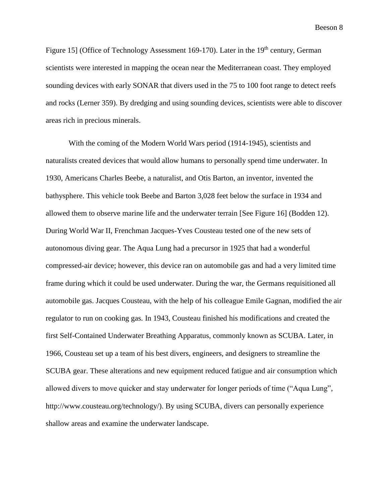Figure 15] (Office of Technology Assessment 169-170). Later in the 19<sup>th</sup> century, German scientists were interested in mapping the ocean near the Mediterranean coast. They employed sounding devices with early SONAR that divers used in the 75 to 100 foot range to detect reefs and rocks (Lerner 359). By dredging and using sounding devices, scientists were able to discover areas rich in precious minerals.

With the coming of the Modern World Wars period (1914-1945), scientists and naturalists created devices that would allow humans to personally spend time underwater. In 1930, Americans Charles Beebe, a naturalist, and Otis Barton, an inventor, invented the bathysphere. This vehicle took Beebe and Barton 3,028 feet below the surface in 1934 and allowed them to observe marine life and the underwater terrain [See Figure 16] (Bodden 12). During World War II, Frenchman Jacques-Yves Cousteau tested one of the new sets of autonomous diving gear. The Aqua Lung had a precursor in 1925 that had a wonderful compressed-air device; however, this device ran on automobile gas and had a very limited time frame during which it could be used underwater. During the war, the Germans requisitioned all automobile gas. Jacques Cousteau, with the help of his colleague Emile Gagnan, modified the air regulator to run on cooking gas. In 1943, Cousteau finished his modifications and created the first Self-Contained Underwater Breathing Apparatus, commonly known as SCUBA. Later, in 1966, Cousteau set up a team of his best divers, engineers, and designers to streamline the SCUBA gear. These alterations and new equipment reduced fatigue and air consumption which allowed divers to move quicker and stay underwater for longer periods of time ("Aqua Lung", http://www.cousteau.org/technology/). By using SCUBA, divers can personally experience shallow areas and examine the underwater landscape.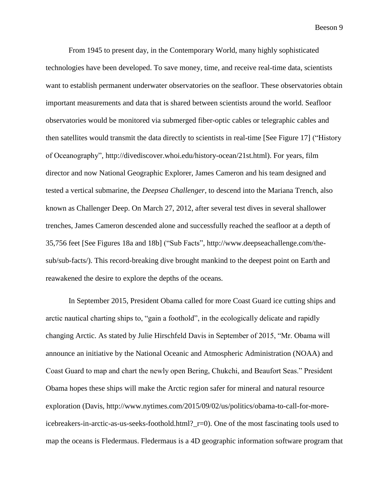From 1945 to present day, in the Contemporary World, many highly sophisticated technologies have been developed. To save money, time, and receive real-time data, scientists want to establish permanent underwater observatories on the seafloor. These observatories obtain important measurements and data that is shared between scientists around the world. Seafloor observatories would be monitored via submerged fiber-optic cables or telegraphic cables and then satellites would transmit the data directly to scientists in real-time [See Figure 17] ("History of Oceanography", http://divediscover.whoi.edu/history-ocean/21st.html). For years, film director and now National Geographic Explorer, James Cameron and his team designed and tested a vertical submarine, the *Deepsea Challenger*, to descend into the Mariana Trench, also known as Challenger Deep. On March 27, 2012, after several test dives in several shallower trenches, James Cameron descended alone and successfully reached the seafloor at a depth of 35,756 feet [See Figures 18a and 18b] ("Sub Facts", http://www.deepseachallenge.com/thesub/sub-facts/). This record-breaking dive brought mankind to the deepest point on Earth and reawakened the desire to explore the depths of the oceans.

In September 2015, President Obama called for more Coast Guard ice cutting ships and arctic nautical charting ships to, "gain a foothold", in the ecologically delicate and rapidly changing Arctic. As stated by Julie Hirschfeld Davis in September of 2015, "Mr. Obama will announce an initiative by the National Oceanic and Atmospheric Administration (NOAA) and Coast Guard to map and chart the newly open Bering, Chukchi, and Beaufort Seas." President Obama hopes these ships will make the Arctic region safer for mineral and natural resource exploration (Davis, http://www.nytimes.com/2015/09/02/us/politics/obama-to-call-for-moreicebreakers-in-arctic-as-us-seeks-foothold.html?\_r=0). One of the most fascinating tools used to map the oceans is Fledermaus. Fledermaus is a 4D geographic information software program that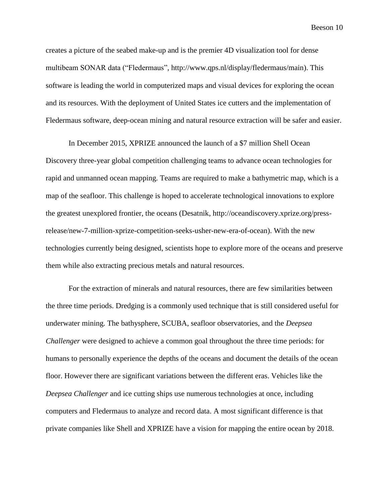creates a picture of the seabed make-up and is the premier 4D visualization tool for dense multibeam SONAR data ("Fledermaus", http://www.qps.nl/display/fledermaus/main). This software is leading the world in computerized maps and visual devices for exploring the ocean and its resources. With the deployment of United States ice cutters and the implementation of Fledermaus software, deep-ocean mining and natural resource extraction will be safer and easier.

In December 2015, XPRIZE announced the launch of a \$7 million Shell Ocean Discovery three-year global competition challenging teams to advance ocean technologies for rapid and unmanned ocean mapping. Teams are required to make a bathymetric map, which is a map of the seafloor. This challenge is hoped to accelerate technological innovations to explore the greatest unexplored frontier, the oceans (Desatnik, http://oceandiscovery.xprize.org/pressrelease/new-7-million-xprize-competition-seeks-usher-new-era-of-ocean). With the new technologies currently being designed, scientists hope to explore more of the oceans and preserve them while also extracting precious metals and natural resources.

For the extraction of minerals and natural resources, there are few similarities between the three time periods. Dredging is a commonly used technique that is still considered useful for underwater mining. The bathysphere, SCUBA, seafloor observatories, and the *Deepsea Challenger* were designed to achieve a common goal throughout the three time periods: for humans to personally experience the depths of the oceans and document the details of the ocean floor. However there are significant variations between the different eras. Vehicles like the *Deepsea Challenger* and ice cutting ships use numerous technologies at once, including computers and Fledermaus to analyze and record data. A most significant difference is that private companies like Shell and XPRIZE have a vision for mapping the entire ocean by 2018.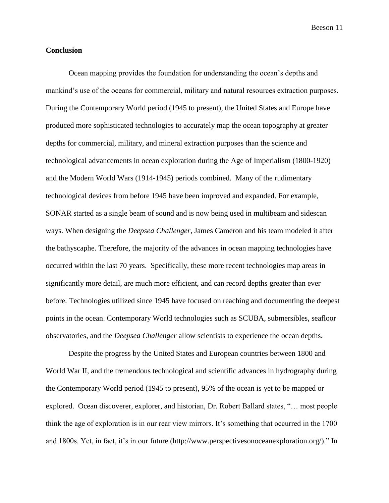#### **Conclusion**

Ocean mapping provides the foundation for understanding the ocean's depths and mankind's use of the oceans for commercial, military and natural resources extraction purposes. During the Contemporary World period (1945 to present), the United States and Europe have produced more sophisticated technologies to accurately map the ocean topography at greater depths for commercial, military, and mineral extraction purposes than the science and technological advancements in ocean exploration during the Age of Imperialism (1800-1920) and the Modern World Wars (1914-1945) periods combined. Many of the rudimentary technological devices from before 1945 have been improved and expanded. For example, SONAR started as a single beam of sound and is now being used in multibeam and sidescan ways. When designing the *Deepsea Challenger,* James Cameron and his team modeled it after the bathyscaphe. Therefore, the majority of the advances in ocean mapping technologies have occurred within the last 70 years. Specifically, these more recent technologies map areas in significantly more detail, are much more efficient, and can record depths greater than ever before. Technologies utilized since 1945 have focused on reaching and documenting the deepest points in the ocean. Contemporary World technologies such as SCUBA, submersibles, seafloor observatories, and the *Deepsea Challenger* allow scientists to experience the ocean depths.

Despite the progress by the United States and European countries between 1800 and World War II, and the tremendous technological and scientific advances in hydrography during the Contemporary World period (1945 to present), 95% of the ocean is yet to be mapped or explored. Ocean discoverer, explorer, and historian, Dr. Robert Ballard states, "… most people think the age of exploration is in our rear view mirrors. It's something that occurred in the 1700 and 1800s. Yet, in fact, it's in our future (http://www.perspectivesonoceanexploration.org/)." In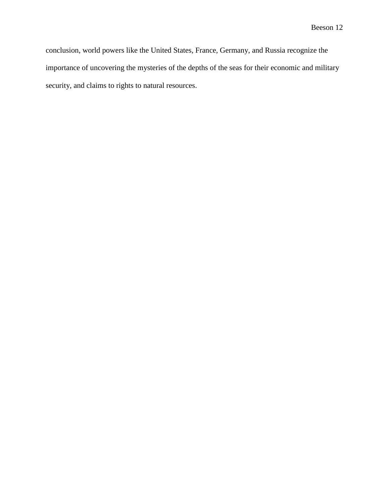conclusion, world powers like the United States, France, Germany, and Russia recognize the importance of uncovering the mysteries of the depths of the seas for their economic and military security, and claims to rights to natural resources.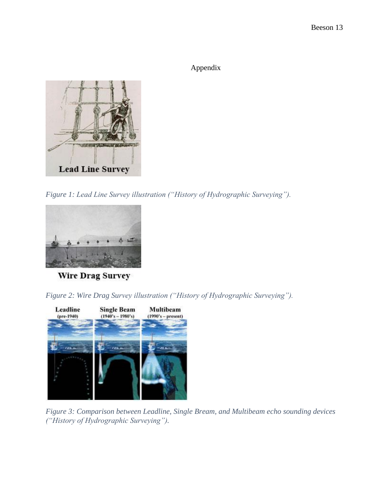Appendix



*Figure 1: Lead Line Survey illustration ("History of Hydrographic Surveying").*



**Wire Drag Survey** 

*Figure 2: Wire Drag Survey illustration ("History of Hydrographic Surveying").*



*Figure 3: Comparison between Leadline, Single Bream, and Multibeam echo sounding devices ("History of Hydrographic Surveying").*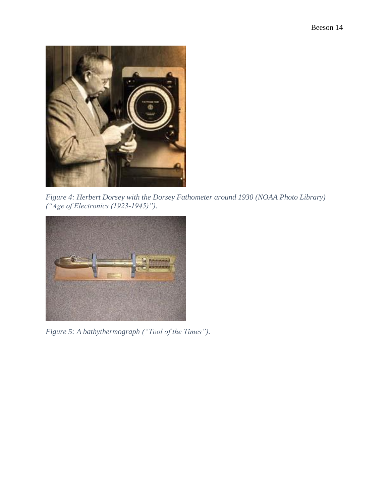

*Figure 4: Herbert Dorsey with the Dorsey Fathometer around 1930 (NOAA Photo Library) ("Age of Electronics (1923-1945)").*



*Figure 5: A bathythermograph ("Tool of the Times").*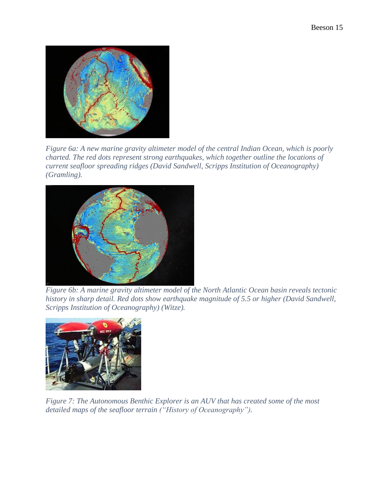

*Figure 6a: A new marine gravity altimeter model of the central Indian Ocean, which is poorly charted. The red dots represent strong earthquakes, which together outline the locations of current seafloor spreading ridges (David Sandwell, Scripps Institution of Oceanography) (Gramling).*



*Figure 6b: A marine gravity altimeter model of the North Atlantic Ocean basin reveals tectonic history in sharp detail. Red dots show earthquake magnitude of 5.5 or higher (David Sandwell, Scripps Institution of Oceanography) (Witze).* 



*Figure 7: The Autonomous Benthic Explorer is an AUV that has created some of the most detailed maps of the seafloor terrain ("History of Oceanography").*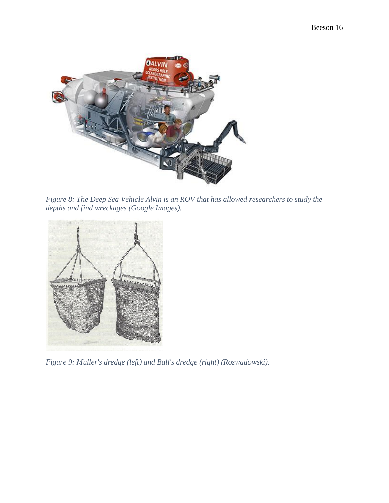

*Figure 8: The Deep Sea Vehicle Alvin is an ROV that has allowed researchers to study the depths and find wreckages (Google Images).*



*Figure 9: Muller's dredge (left) and Ball's dredge (right) (Rozwadowski).*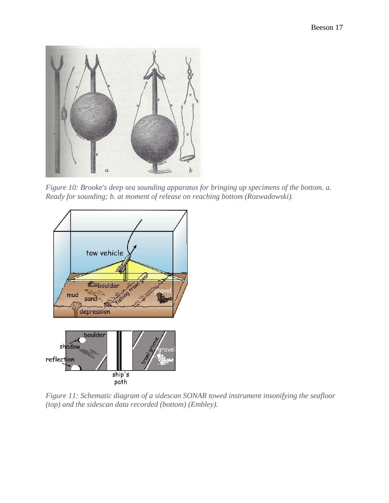

*Figure 10: Brooke's deep sea sounding apparatus for bringing up specimens of the bottom. a. Ready for sounding; b. at moment of release on reaching bottom (Rozwadowski).*



*Figure 11: Schematic diagram of a sidescan SONAR towed instrument insonifying the seafloor (top) and the sidescan data recorded (bottom) (Embley).*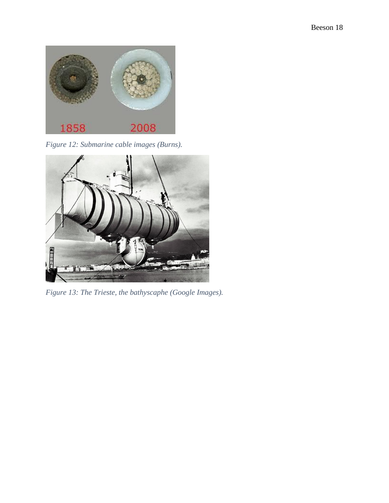

*Figure 12: Submarine cable images (Burns).*



*Figure 13: The Trieste, the bathyscaphe (Google Images).*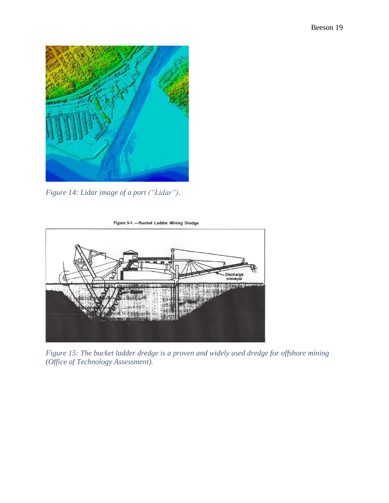

*Figure 14: Lidar image of a port ("Lidar").*



*Figure 15: The bucket ladder dredge is a proven and widely used dredge for offshore mining (Office of Technology Assessment).*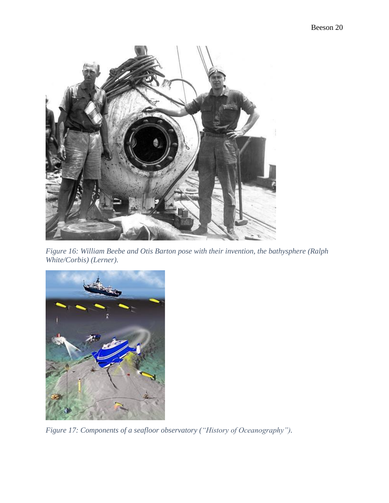

*Figure 16: William Beebe and Otis Barton pose with their invention, the bathysphere (Ralph White/Corbis) (Lerner).*



*Figure 17: Components of a seafloor observatory ("History of Oceanography").*